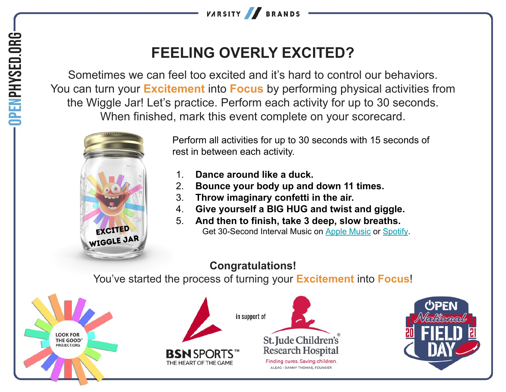

# **FEELING OVERLY EXCITED?**

Sometimes we can feel too excited and it's hard to control our behaviors. You can turn your **Excitement** into **Focus** by performing physical activities from the Wiggle Jar! Let's practice. Perform each activity for up to 30 seconds. When finished, mark this event complete on your scorecard.



Perform all activities for up to 30 seconds with 15 seconds of rest in between each activity.

- Dance around like a duck.
- 2. **Bounce your body up and down 11 times.**
- 3. **Throw imaginary confetti in the air.**
- 4. **Give yourself a BIG HUG and twist and giggle.**
- 5. **And then to finish, take 3 deep, slow breaths.** Get 30-Second Interval Music on [Apple Music](https://music.apple.com/us/album/hhd-30-second-intervals-with-15-second-breaks/553186898?i=553186900) or [Spotify.](https://open.spotify.com/track/1sHvWHLbTXwzx9IEPdS7RH?si=49e962017fc040ef)

## **Congratulations!**

You've started the process of turning your **Excitement** into **Focus**!